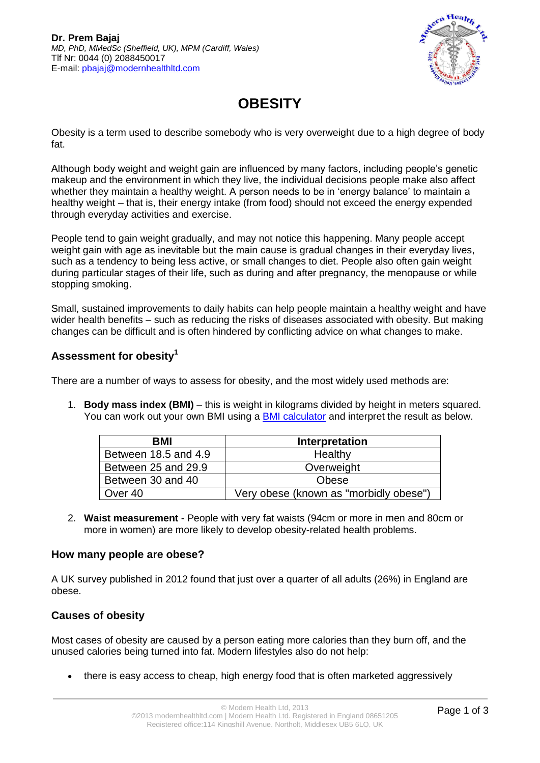

# **OBESITY**

Obesity is a term used to describe somebody who is very overweight due to a high degree of body fat.

Although body weight and weight gain are influenced by many factors, including people's genetic makeup and the environment in which they live, the individual decisions people make also affect whether they maintain a healthy weight. A person needs to be in 'energy balance' to maintain a healthy weight – that is, their energy intake (from food) should not exceed the energy expended through everyday activities and exercise.

People tend to gain weight gradually, and may not notice this happening. Many people accept weight gain with age as inevitable but the main cause is gradual changes in their everyday lives, such as a tendency to being less active, or small changes to diet. People also often gain weight during particular stages of their life, such as during and after pregnancy, the menopause or while stopping smoking.

Small, sustained improvements to daily habits can help people maintain a healthy weight and have wider health benefits – such as reducing the risks of diseases associated with obesity. But making changes can be difficult and is often hindered by conflicting advice on what changes to make.

## **Assessment for obesity<sup>1</sup>**

There are a number of ways to assess for obesity, and the most widely used methods are:

1. **Body mass index (BMI)** – this is weight in kilograms divided by height in meters squared. You can work out your own BMI using a [BMI calculator](http://www.bbc.co.uk/health/tools/bmi_calculator/bmi.shtml) and interpret the result as below.

| BMI                  | Interpretation                         |
|----------------------|----------------------------------------|
| Between 18.5 and 4.9 | Healthy                                |
| Between 25 and 29.9  | Overweight                             |
| Between 30 and 40    | Obese                                  |
| Over 40              | Very obese (known as "morbidly obese") |

2. **Waist measurement** - People with very fat waists (94cm or more in men and 80cm or more in women) are more likely to develop obesity-related health problems.

#### **How many people are obese?**

A UK survey published in 2012 found that just over a quarter of all adults (26%) in England are obese.

#### **Causes of obesity**

Most cases of obesity are caused by a person eating more calories than they burn off, and the unused calories being turned into fat. Modern lifestyles also do not help:

there is easy access to cheap, high energy food that is often marketed aggressively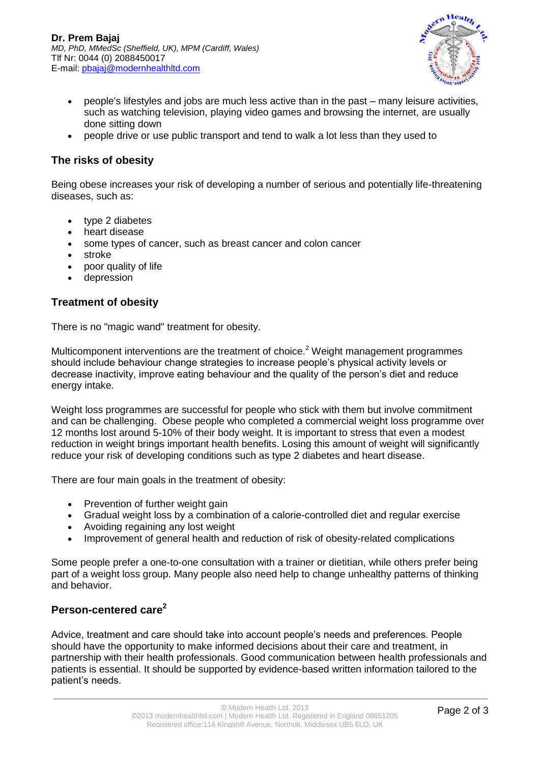

- people's lifestyles and jobs are much less active than in the past many leisure activities, such as watching television, playing video games and browsing the internet, are usually done sitting down
- people drive or use public transport and tend to walk a lot less than they used to

#### **The risks of obesity**

Being obese increases your risk of developing a number of serious and potentially life-threatening diseases, such as:

- type 2 diabetes
- heart disease
- some types of cancer, such as breast cancer and colon cancer
- stroke
- poor quality of life
- depression

#### **Treatment of obesity**

There is no "magic wand" treatment for obesity.

Multicomponent interventions are the treatment of choice.<sup>2</sup> Weight management programmes should include behaviour change strategies to increase people's physical activity levels or decrease inactivity, improve eating behaviour and the quality of the person's diet and reduce energy intake.

Weight loss programmes are successful for people who stick with them but involve commitment and can be challenging. Obese people who completed a commercial weight loss programme over 12 months lost around 5-10% of their body weight. It is important to stress that even a modest reduction in weight brings important health benefits. Losing this amount of weight will significantly reduce your risk of developing conditions such as type 2 diabetes and heart disease.

There are four main goals in the treatment of obesity:

- Prevention of further weight gain
- Gradual weight loss by a combination of a calorie-controlled diet and regular exercise
- Avoiding regaining any lost weight
- Improvement of general health and reduction of risk of obesity-related complications

Some people prefer a one-to-one consultation with a trainer or dietitian, while others prefer being part of a weight loss group. Many people also need help to change unhealthy patterns of thinking and behavior.

### **Person-centered care<sup>2</sup>**

Advice, treatment and care should take into account people's needs and preferences. People should have the opportunity to make informed decisions about their care and treatment, in partnership with their health professionals. Good communication between health professionals and patients is essential. It should be supported by evidence-based written information tailored to the patient's needs.